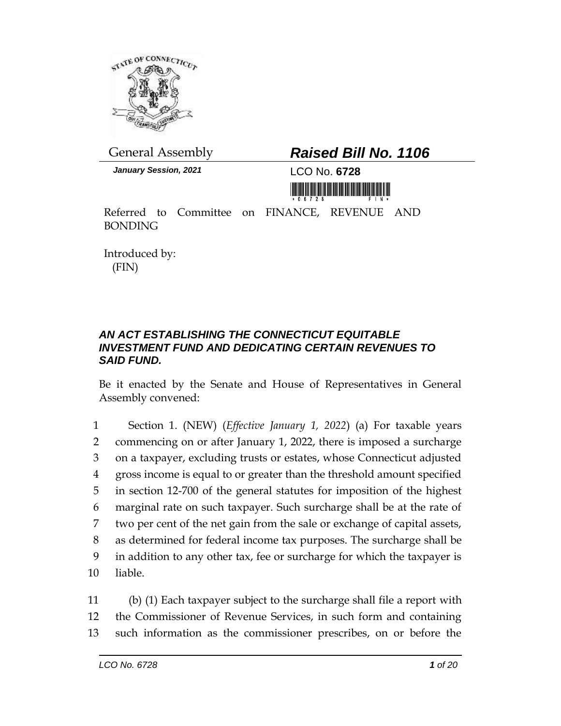

## General Assembly *Raised Bill No. 1106*

*January Session, 2021* LCO No. **6728**



Referred to Committee on FINANCE, REVENUE AND BONDING

Introduced by: (FIN)

## *AN ACT ESTABLISHING THE CONNECTICUT EQUITABLE INVESTMENT FUND AND DEDICATING CERTAIN REVENUES TO SAID FUND.*

Be it enacted by the Senate and House of Representatives in General Assembly convened:

 Section 1. (NEW) (*Effective January 1, 2022*) (a) For taxable years commencing on or after January 1, 2022, there is imposed a surcharge on a taxpayer, excluding trusts or estates, whose Connecticut adjusted gross income is equal to or greater than the threshold amount specified in section 12-700 of the general statutes for imposition of the highest marginal rate on such taxpayer. Such surcharge shall be at the rate of two per cent of the net gain from the sale or exchange of capital assets, as determined for federal income tax purposes. The surcharge shall be in addition to any other tax, fee or surcharge for which the taxpayer is 10 liable.

11 (b) (1) Each taxpayer subject to the surcharge shall file a report with 12 the Commissioner of Revenue Services, in such form and containing 13 such information as the commissioner prescribes, on or before the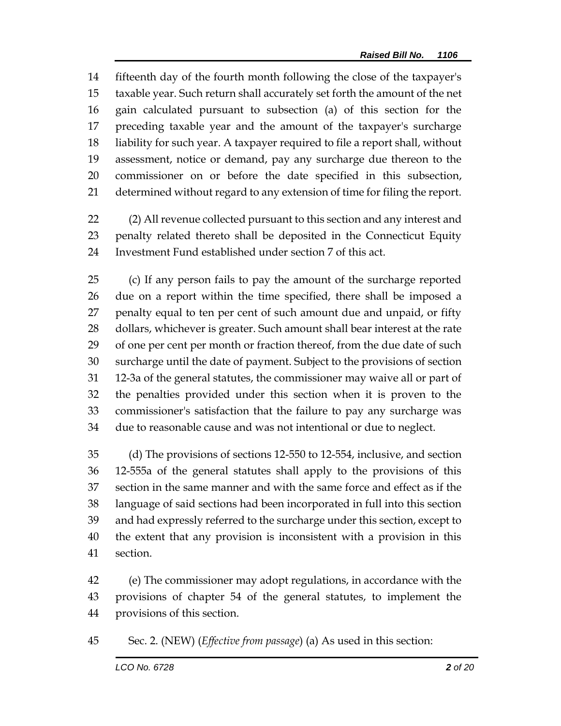fifteenth day of the fourth month following the close of the taxpayer's taxable year. Such return shall accurately set forth the amount of the net gain calculated pursuant to subsection (a) of this section for the preceding taxable year and the amount of the taxpayer's surcharge liability for such year. A taxpayer required to file a report shall, without assessment, notice or demand, pay any surcharge due thereon to the commissioner on or before the date specified in this subsection, determined without regard to any extension of time for filing the report.

 (2) All revenue collected pursuant to this section and any interest and penalty related thereto shall be deposited in the Connecticut Equity Investment Fund established under section 7 of this act.

 (c) If any person fails to pay the amount of the surcharge reported due on a report within the time specified, there shall be imposed a penalty equal to ten per cent of such amount due and unpaid, or fifty dollars, whichever is greater. Such amount shall bear interest at the rate 29 of one per cent per month or fraction thereof, from the due date of such surcharge until the date of payment. Subject to the provisions of section 12-3a of the general statutes, the commissioner may waive all or part of the penalties provided under this section when it is proven to the commissioner's satisfaction that the failure to pay any surcharge was due to reasonable cause and was not intentional or due to neglect.

 (d) The provisions of sections 12-550 to 12-554, inclusive, and section 12-555a of the general statutes shall apply to the provisions of this section in the same manner and with the same force and effect as if the language of said sections had been incorporated in full into this section and had expressly referred to the surcharge under this section, except to the extent that any provision is inconsistent with a provision in this section.

 (e) The commissioner may adopt regulations, in accordance with the provisions of chapter 54 of the general statutes, to implement the provisions of this section.

Sec. 2. (NEW) (*Effective from passage*) (a) As used in this section: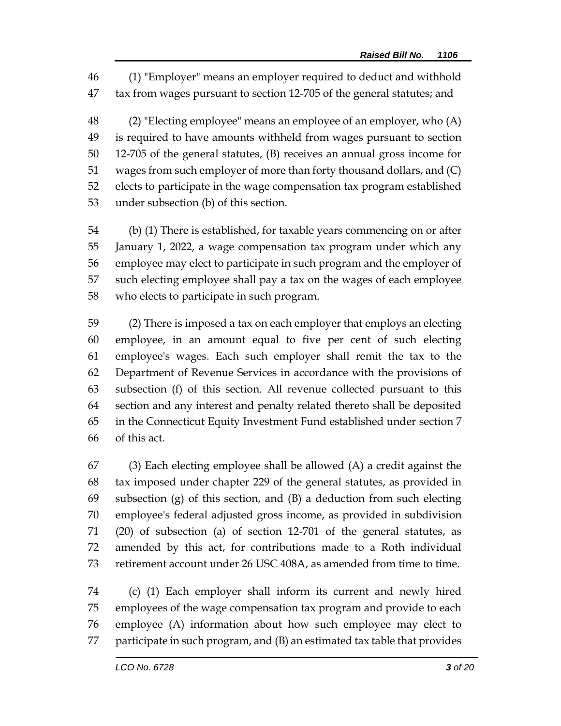(1) "Employer" means an employer required to deduct and withhold tax from wages pursuant to section 12-705 of the general statutes; and

 (2) "Electing employee" means an employee of an employer, who (A) is required to have amounts withheld from wages pursuant to section 12-705 of the general statutes, (B) receives an annual gross income for wages from such employer of more than forty thousand dollars, and (C) elects to participate in the wage compensation tax program established under subsection (b) of this section.

 (b) (1) There is established, for taxable years commencing on or after January 1, 2022, a wage compensation tax program under which any employee may elect to participate in such program and the employer of such electing employee shall pay a tax on the wages of each employee who elects to participate in such program.

 (2) There is imposed a tax on each employer that employs an electing employee, in an amount equal to five per cent of such electing employee's wages. Each such employer shall remit the tax to the Department of Revenue Services in accordance with the provisions of subsection (f) of this section. All revenue collected pursuant to this section and any interest and penalty related thereto shall be deposited in the Connecticut Equity Investment Fund established under section 7 of this act.

 (3) Each electing employee shall be allowed (A) a credit against the tax imposed under chapter 229 of the general statutes, as provided in subsection (g) of this section, and (B) a deduction from such electing employee's federal adjusted gross income, as provided in subdivision (20) of subsection (a) of section 12-701 of the general statutes, as amended by this act, for contributions made to a Roth individual retirement account under 26 USC 408A, as amended from time to time.

 (c) (1) Each employer shall inform its current and newly hired employees of the wage compensation tax program and provide to each employee (A) information about how such employee may elect to participate in such program, and (B) an estimated tax table that provides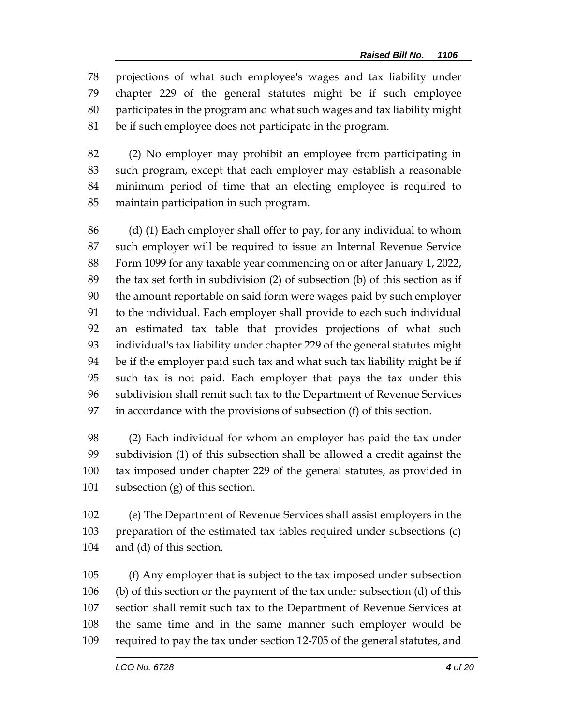projections of what such employee's wages and tax liability under chapter 229 of the general statutes might be if such employee participates in the program and what such wages and tax liability might be if such employee does not participate in the program.

 (2) No employer may prohibit an employee from participating in such program, except that each employer may establish a reasonable minimum period of time that an electing employee is required to maintain participation in such program.

 (d) (1) Each employer shall offer to pay, for any individual to whom such employer will be required to issue an Internal Revenue Service Form 1099 for any taxable year commencing on or after January 1, 2022, the tax set forth in subdivision (2) of subsection (b) of this section as if the amount reportable on said form were wages paid by such employer to the individual. Each employer shall provide to each such individual an estimated tax table that provides projections of what such individual's tax liability under chapter 229 of the general statutes might be if the employer paid such tax and what such tax liability might be if such tax is not paid. Each employer that pays the tax under this subdivision shall remit such tax to the Department of Revenue Services in accordance with the provisions of subsection (f) of this section.

 (2) Each individual for whom an employer has paid the tax under subdivision (1) of this subsection shall be allowed a credit against the tax imposed under chapter 229 of the general statutes, as provided in subsection (g) of this section.

 (e) The Department of Revenue Services shall assist employers in the preparation of the estimated tax tables required under subsections (c) and (d) of this section.

 (f) Any employer that is subject to the tax imposed under subsection (b) of this section or the payment of the tax under subsection (d) of this section shall remit such tax to the Department of Revenue Services at the same time and in the same manner such employer would be required to pay the tax under section 12-705 of the general statutes, and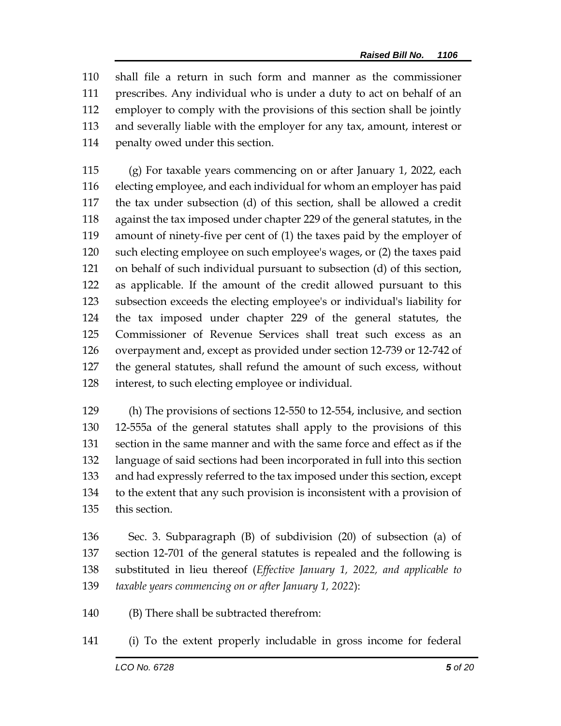shall file a return in such form and manner as the commissioner prescribes. Any individual who is under a duty to act on behalf of an employer to comply with the provisions of this section shall be jointly and severally liable with the employer for any tax, amount, interest or penalty owed under this section.

 (g) For taxable years commencing on or after January 1, 2022, each electing employee, and each individual for whom an employer has paid the tax under subsection (d) of this section, shall be allowed a credit against the tax imposed under chapter 229 of the general statutes, in the amount of ninety-five per cent of (1) the taxes paid by the employer of such electing employee on such employee's wages, or (2) the taxes paid on behalf of such individual pursuant to subsection (d) of this section, as applicable. If the amount of the credit allowed pursuant to this subsection exceeds the electing employee's or individual's liability for the tax imposed under chapter 229 of the general statutes, the Commissioner of Revenue Services shall treat such excess as an overpayment and, except as provided under section 12-739 or 12-742 of the general statutes, shall refund the amount of such excess, without interest, to such electing employee or individual.

 (h) The provisions of sections 12-550 to 12-554, inclusive, and section 12-555a of the general statutes shall apply to the provisions of this section in the same manner and with the same force and effect as if the language of said sections had been incorporated in full into this section and had expressly referred to the tax imposed under this section, except to the extent that any such provision is inconsistent with a provision of this section.

 Sec. 3. Subparagraph (B) of subdivision (20) of subsection (a) of section 12-701 of the general statutes is repealed and the following is substituted in lieu thereof (*Effective January 1, 2022, and applicable to taxable years commencing on or after January 1, 2022*):

(B) There shall be subtracted therefrom:

(i) To the extent properly includable in gross income for federal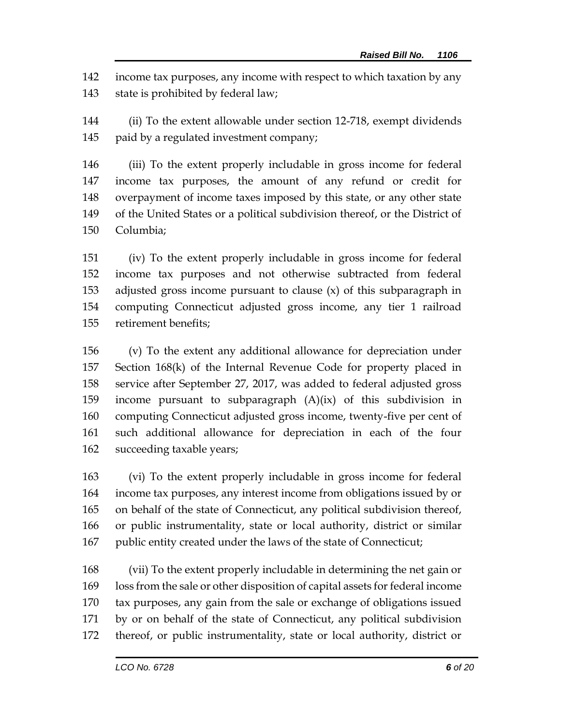income tax purposes, any income with respect to which taxation by any 143 state is prohibited by federal law;

 (ii) To the extent allowable under section 12-718, exempt dividends 145 paid by a regulated investment company;

 (iii) To the extent properly includable in gross income for federal income tax purposes, the amount of any refund or credit for overpayment of income taxes imposed by this state, or any other state of the United States or a political subdivision thereof, or the District of Columbia;

 (iv) To the extent properly includable in gross income for federal income tax purposes and not otherwise subtracted from federal adjusted gross income pursuant to clause (x) of this subparagraph in computing Connecticut adjusted gross income, any tier 1 railroad retirement benefits;

 (v) To the extent any additional allowance for depreciation under Section 168(k) of the Internal Revenue Code for property placed in service after September 27, 2017, was added to federal adjusted gross income pursuant to subparagraph (A)(ix) of this subdivision in computing Connecticut adjusted gross income, twenty-five per cent of such additional allowance for depreciation in each of the four succeeding taxable years;

 (vi) To the extent properly includable in gross income for federal income tax purposes, any interest income from obligations issued by or on behalf of the state of Connecticut, any political subdivision thereof, or public instrumentality, state or local authority, district or similar public entity created under the laws of the state of Connecticut;

 (vii) To the extent properly includable in determining the net gain or loss from the sale or other disposition of capital assets for federal income tax purposes, any gain from the sale or exchange of obligations issued by or on behalf of the state of Connecticut, any political subdivision thereof, or public instrumentality, state or local authority, district or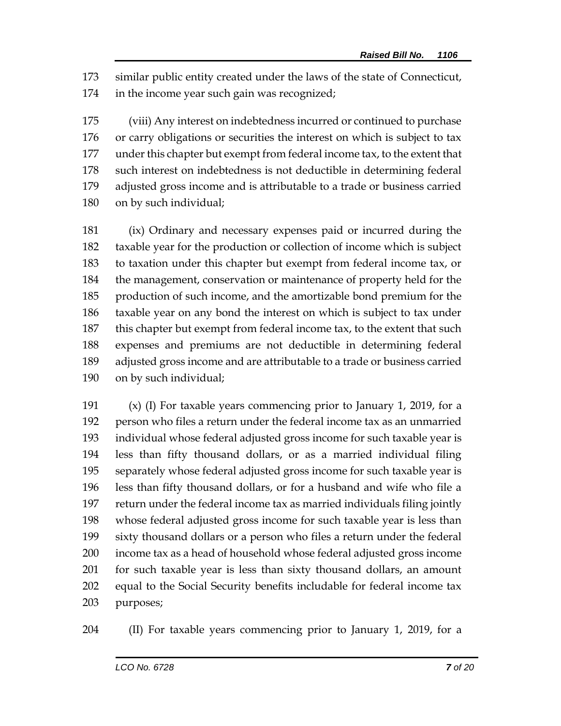similar public entity created under the laws of the state of Connecticut, in the income year such gain was recognized;

 (viii) Any interest on indebtedness incurred or continued to purchase or carry obligations or securities the interest on which is subject to tax under this chapter but exempt from federal income tax, to the extent that such interest on indebtedness is not deductible in determining federal adjusted gross income and is attributable to a trade or business carried on by such individual;

 (ix) Ordinary and necessary expenses paid or incurred during the taxable year for the production or collection of income which is subject to taxation under this chapter but exempt from federal income tax, or the management, conservation or maintenance of property held for the production of such income, and the amortizable bond premium for the taxable year on any bond the interest on which is subject to tax under this chapter but exempt from federal income tax, to the extent that such expenses and premiums are not deductible in determining federal adjusted gross income and are attributable to a trade or business carried on by such individual;

 (x) (I) For taxable years commencing prior to January 1, 2019, for a person who files a return under the federal income tax as an unmarried individual whose federal adjusted gross income for such taxable year is less than fifty thousand dollars, or as a married individual filing separately whose federal adjusted gross income for such taxable year is less than fifty thousand dollars, or for a husband and wife who file a return under the federal income tax as married individuals filing jointly whose federal adjusted gross income for such taxable year is less than sixty thousand dollars or a person who files a return under the federal income tax as a head of household whose federal adjusted gross income for such taxable year is less than sixty thousand dollars, an amount equal to the Social Security benefits includable for federal income tax purposes;

(II) For taxable years commencing prior to January 1, 2019, for a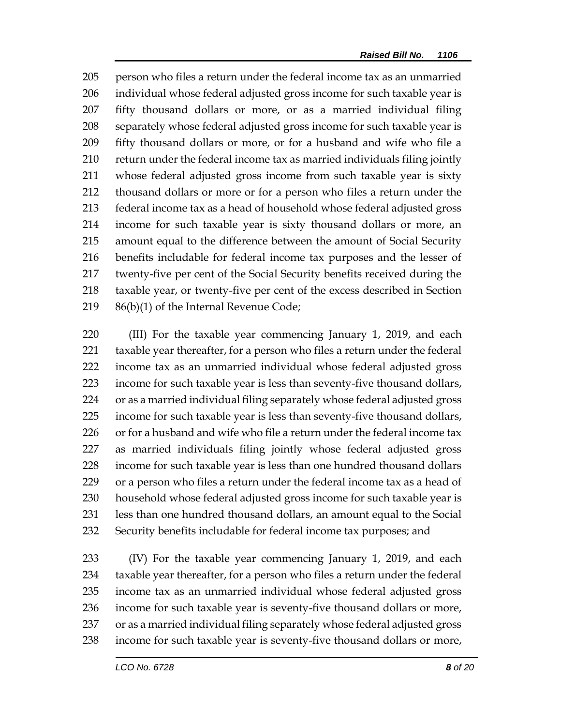person who files a return under the federal income tax as an unmarried individual whose federal adjusted gross income for such taxable year is fifty thousand dollars or more, or as a married individual filing separately whose federal adjusted gross income for such taxable year is fifty thousand dollars or more, or for a husband and wife who file a return under the federal income tax as married individuals filing jointly whose federal adjusted gross income from such taxable year is sixty thousand dollars or more or for a person who files a return under the federal income tax as a head of household whose federal adjusted gross income for such taxable year is sixty thousand dollars or more, an amount equal to the difference between the amount of Social Security benefits includable for federal income tax purposes and the lesser of twenty-five per cent of the Social Security benefits received during the taxable year, or twenty-five per cent of the excess described in Section 86(b)(1) of the Internal Revenue Code;

 (III) For the taxable year commencing January 1, 2019, and each taxable year thereafter, for a person who files a return under the federal income tax as an unmarried individual whose federal adjusted gross income for such taxable year is less than seventy-five thousand dollars, or as a married individual filing separately whose federal adjusted gross income for such taxable year is less than seventy-five thousand dollars, 226 or for a husband and wife who file a return under the federal income tax as married individuals filing jointly whose federal adjusted gross income for such taxable year is less than one hundred thousand dollars or a person who files a return under the federal income tax as a head of household whose federal adjusted gross income for such taxable year is less than one hundred thousand dollars, an amount equal to the Social Security benefits includable for federal income tax purposes; and

 (IV) For the taxable year commencing January 1, 2019, and each taxable year thereafter, for a person who files a return under the federal income tax as an unmarried individual whose federal adjusted gross income for such taxable year is seventy-five thousand dollars or more, or as a married individual filing separately whose federal adjusted gross income for such taxable year is seventy-five thousand dollars or more,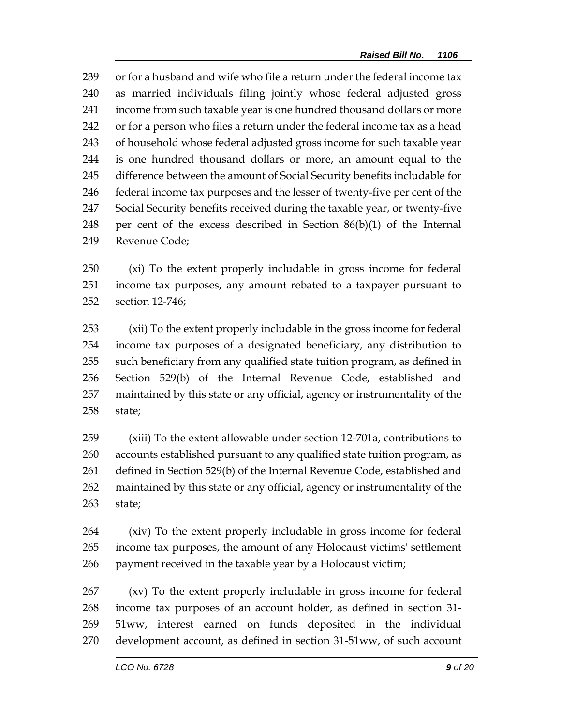239 or for a husband and wife who file a return under the federal income tax as married individuals filing jointly whose federal adjusted gross income from such taxable year is one hundred thousand dollars or more or for a person who files a return under the federal income tax as a head of household whose federal adjusted gross income for such taxable year is one hundred thousand dollars or more, an amount equal to the difference between the amount of Social Security benefits includable for federal income tax purposes and the lesser of twenty-five per cent of the Social Security benefits received during the taxable year, or twenty-five 248 per cent of the excess described in Section  $86(b)(1)$  of the Internal Revenue Code;

 (xi) To the extent properly includable in gross income for federal income tax purposes, any amount rebated to a taxpayer pursuant to section 12-746;

 (xii) To the extent properly includable in the gross income for federal income tax purposes of a designated beneficiary, any distribution to such beneficiary from any qualified state tuition program, as defined in Section 529(b) of the Internal Revenue Code, established and maintained by this state or any official, agency or instrumentality of the state;

 (xiii) To the extent allowable under section 12-701a, contributions to accounts established pursuant to any qualified state tuition program, as defined in Section 529(b) of the Internal Revenue Code, established and maintained by this state or any official, agency or instrumentality of the state;

 (xiv) To the extent properly includable in gross income for federal income tax purposes, the amount of any Holocaust victims' settlement payment received in the taxable year by a Holocaust victim;

 (xv) To the extent properly includable in gross income for federal income tax purposes of an account holder, as defined in section 31- 51ww, interest earned on funds deposited in the individual development account, as defined in section 31-51ww, of such account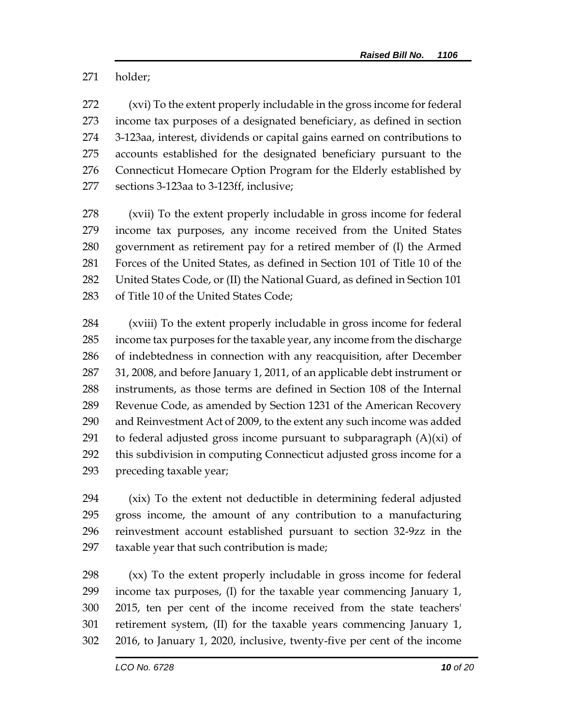holder;

 (xvi) To the extent properly includable in the gross income for federal income tax purposes of a designated beneficiary, as defined in section 3-123aa, interest, dividends or capital gains earned on contributions to accounts established for the designated beneficiary pursuant to the Connecticut Homecare Option Program for the Elderly established by sections 3-123aa to 3-123ff, inclusive;

 (xvii) To the extent properly includable in gross income for federal income tax purposes, any income received from the United States government as retirement pay for a retired member of (I) the Armed Forces of the United States, as defined in Section 101 of Title 10 of the United States Code, or (II) the National Guard, as defined in Section 101 of Title 10 of the United States Code;

 (xviii) To the extent properly includable in gross income for federal income tax purposes for the taxable year, any income from the discharge of indebtedness in connection with any reacquisition, after December 31, 2008, and before January 1, 2011, of an applicable debt instrument or instruments, as those terms are defined in Section 108 of the Internal Revenue Code, as amended by Section 1231 of the American Recovery and Reinvestment Act of 2009, to the extent any such income was added 291 to federal adjusted gross income pursuant to subparagraph  $(A)(xi)$  of this subdivision in computing Connecticut adjusted gross income for a preceding taxable year;

 (xix) To the extent not deductible in determining federal adjusted gross income, the amount of any contribution to a manufacturing reinvestment account established pursuant to section 32-9zz in the taxable year that such contribution is made;

 (xx) To the extent properly includable in gross income for federal income tax purposes, (I) for the taxable year commencing January 1, 2015, ten per cent of the income received from the state teachers' retirement system, (II) for the taxable years commencing January 1, 2016, to January 1, 2020, inclusive, twenty-five per cent of the income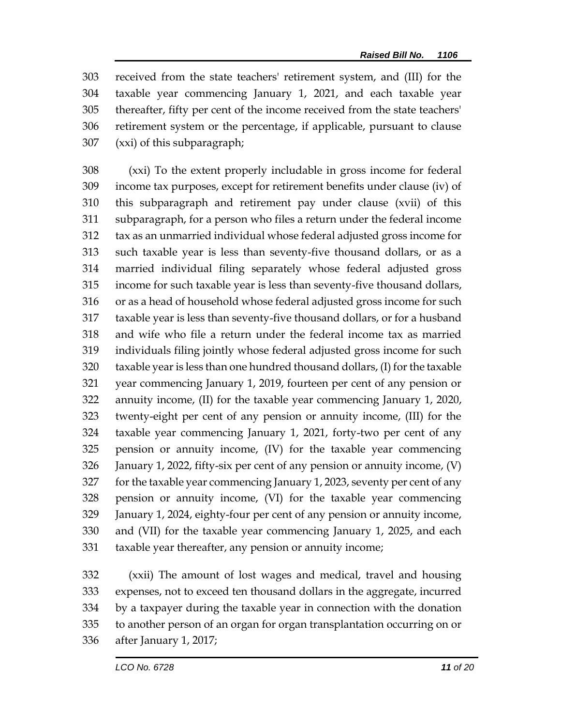received from the state teachers' retirement system, and (III) for the taxable year commencing January 1, 2021, and each taxable year thereafter, fifty per cent of the income received from the state teachers' retirement system or the percentage, if applicable, pursuant to clause (xxi) of this subparagraph;

 (xxi) To the extent properly includable in gross income for federal income tax purposes, except for retirement benefits under clause (iv) of this subparagraph and retirement pay under clause (xvii) of this subparagraph, for a person who files a return under the federal income tax as an unmarried individual whose federal adjusted gross income for such taxable year is less than seventy-five thousand dollars, or as a married individual filing separately whose federal adjusted gross income for such taxable year is less than seventy-five thousand dollars, or as a head of household whose federal adjusted gross income for such taxable year is less than seventy-five thousand dollars, or for a husband and wife who file a return under the federal income tax as married individuals filing jointly whose federal adjusted gross income for such taxable year is less than one hundred thousand dollars, (I) for the taxable year commencing January 1, 2019, fourteen per cent of any pension or annuity income, (II) for the taxable year commencing January 1, 2020, twenty-eight per cent of any pension or annuity income, (III) for the taxable year commencing January 1, 2021, forty-two per cent of any pension or annuity income, (IV) for the taxable year commencing January 1, 2022, fifty-six per cent of any pension or annuity income, (V) for the taxable year commencing January 1, 2023, seventy per cent of any pension or annuity income, (VI) for the taxable year commencing January 1, 2024, eighty-four per cent of any pension or annuity income, and (VII) for the taxable year commencing January 1, 2025, and each taxable year thereafter, any pension or annuity income;

 (xxii) The amount of lost wages and medical, travel and housing expenses, not to exceed ten thousand dollars in the aggregate, incurred by a taxpayer during the taxable year in connection with the donation to another person of an organ for organ transplantation occurring on or after January 1, 2017;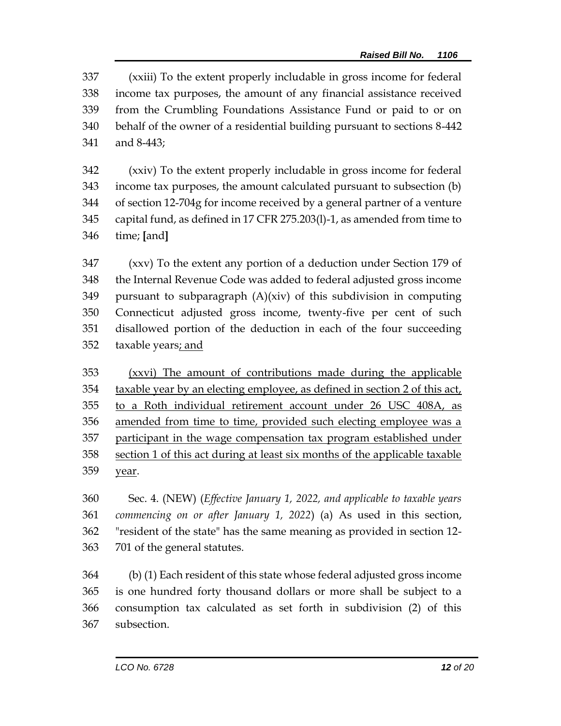(xxiii) To the extent properly includable in gross income for federal income tax purposes, the amount of any financial assistance received from the Crumbling Foundations Assistance Fund or paid to or on behalf of the owner of a residential building pursuant to sections 8-442 and 8-443;

 (xxiv) To the extent properly includable in gross income for federal income tax purposes, the amount calculated pursuant to subsection (b) of section 12-704g for income received by a general partner of a venture capital fund, as defined in 17 CFR 275.203(l)-1, as amended from time to time; **[**and**]**

 (xxv) To the extent any portion of a deduction under Section 179 of the Internal Revenue Code was added to federal adjusted gross income pursuant to subparagraph (A)(xiv) of this subdivision in computing Connecticut adjusted gross income, twenty-five per cent of such disallowed portion of the deduction in each of the four succeeding taxable years; and

 (xxvi) The amount of contributions made during the applicable taxable year by an electing employee, as defined in section 2 of this act, to a Roth individual retirement account under 26 USC 408A, as amended from time to time, provided such electing employee was a participant in the wage compensation tax program established under section 1 of this act during at least six months of the applicable taxable year.

 Sec. 4. (NEW) (*Effective January 1, 2022, and applicable to taxable years commencing on or after January 1, 2022*) (a) As used in this section, "resident of the state" has the same meaning as provided in section 12- 701 of the general statutes.

 (b) (1) Each resident of this state whose federal adjusted gross income is one hundred forty thousand dollars or more shall be subject to a consumption tax calculated as set forth in subdivision (2) of this subsection.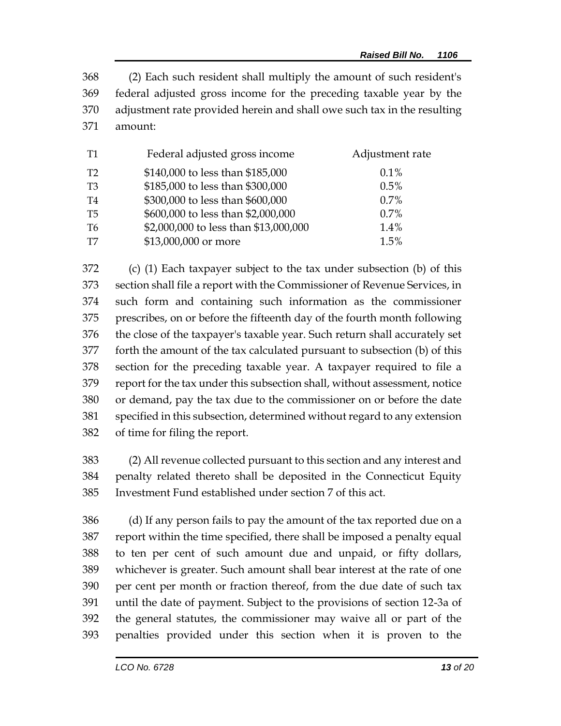(2) Each such resident shall multiply the amount of such resident's federal adjusted gross income for the preceding taxable year by the adjustment rate provided herein and shall owe such tax in the resulting amount:

| T1             | Federal adjusted gross income         | Adjustment rate |
|----------------|---------------------------------------|-----------------|
| T2             | \$140,000 to less than \$185,000      | 0.1%            |
| T <sub>3</sub> | \$185,000 to less than \$300,000      | 0.5%            |
| T4             | \$300,000 to less than \$600,000      | 0.7%            |
| T5             | \$600,000 to less than \$2,000,000    | 0.7%            |
| T6             | \$2,000,000 to less than \$13,000,000 | 1.4%            |
| T7             | \$13,000,000 or more                  | 1.5%            |

 (c) (1) Each taxpayer subject to the tax under subsection (b) of this section shall file a report with the Commissioner of Revenue Services, in such form and containing such information as the commissioner prescribes, on or before the fifteenth day of the fourth month following the close of the taxpayer's taxable year. Such return shall accurately set forth the amount of the tax calculated pursuant to subsection (b) of this section for the preceding taxable year. A taxpayer required to file a report for the tax under this subsection shall, without assessment, notice or demand, pay the tax due to the commissioner on or before the date specified in this subsection, determined without regard to any extension of time for filing the report.

 (2) All revenue collected pursuant to this section and any interest and penalty related thereto shall be deposited in the Connecticut Equity Investment Fund established under section 7 of this act.

 (d) If any person fails to pay the amount of the tax reported due on a report within the time specified, there shall be imposed a penalty equal to ten per cent of such amount due and unpaid, or fifty dollars, whichever is greater. Such amount shall bear interest at the rate of one per cent per month or fraction thereof, from the due date of such tax until the date of payment. Subject to the provisions of section 12-3a of the general statutes, the commissioner may waive all or part of the penalties provided under this section when it is proven to the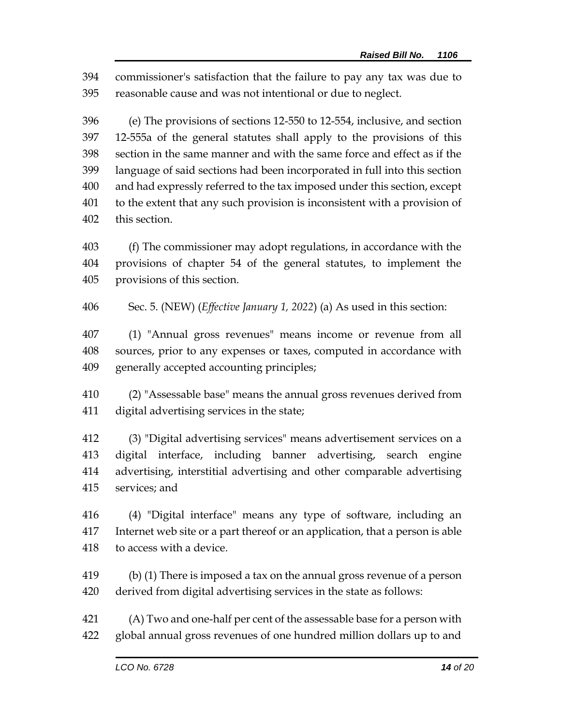commissioner's satisfaction that the failure to pay any tax was due to reasonable cause and was not intentional or due to neglect.

 (e) The provisions of sections 12-550 to 12-554, inclusive, and section 12-555a of the general statutes shall apply to the provisions of this section in the same manner and with the same force and effect as if the language of said sections had been incorporated in full into this section and had expressly referred to the tax imposed under this section, except to the extent that any such provision is inconsistent with a provision of this section.

 (f) The commissioner may adopt regulations, in accordance with the provisions of chapter 54 of the general statutes, to implement the provisions of this section.

Sec. 5. (NEW) (*Effective January 1, 2022*) (a) As used in this section:

 (1) "Annual gross revenues" means income or revenue from all sources, prior to any expenses or taxes, computed in accordance with generally accepted accounting principles;

 (2) "Assessable base" means the annual gross revenues derived from digital advertising services in the state;

 (3) "Digital advertising services" means advertisement services on a digital interface, including banner advertising, search engine advertising, interstitial advertising and other comparable advertising services; and

 (4) "Digital interface" means any type of software, including an Internet web site or a part thereof or an application, that a person is able to access with a device.

 (b) (1) There is imposed a tax on the annual gross revenue of a person derived from digital advertising services in the state as follows:

 (A) Two and one-half per cent of the assessable base for a person with global annual gross revenues of one hundred million dollars up to and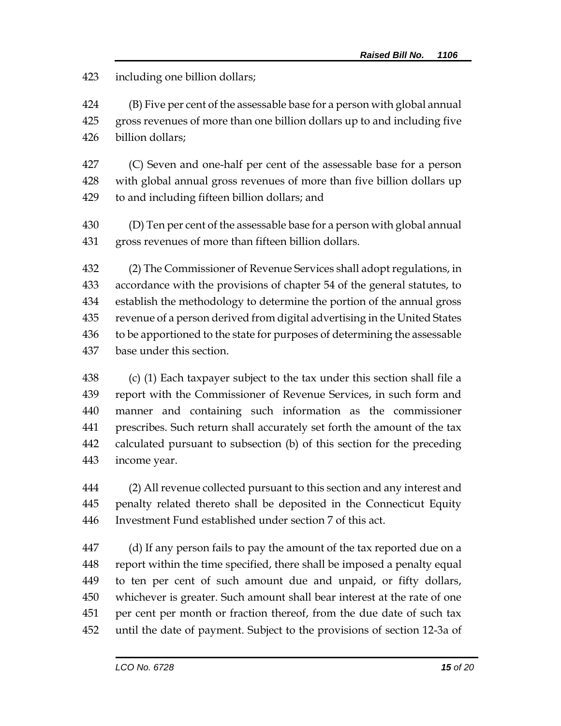including one billion dollars;

 (B) Five per cent of the assessable base for a person with global annual gross revenues of more than one billion dollars up to and including five billion dollars;

 (C) Seven and one-half per cent of the assessable base for a person with global annual gross revenues of more than five billion dollars up to and including fifteen billion dollars; and

 (D) Ten per cent of the assessable base for a person with global annual gross revenues of more than fifteen billion dollars.

 (2) The Commissioner of Revenue Services shall adopt regulations, in accordance with the provisions of chapter 54 of the general statutes, to establish the methodology to determine the portion of the annual gross revenue of a person derived from digital advertising in the United States to be apportioned to the state for purposes of determining the assessable base under this section.

 (c) (1) Each taxpayer subject to the tax under this section shall file a report with the Commissioner of Revenue Services, in such form and manner and containing such information as the commissioner prescribes. Such return shall accurately set forth the amount of the tax calculated pursuant to subsection (b) of this section for the preceding income year.

 (2) All revenue collected pursuant to this section and any interest and penalty related thereto shall be deposited in the Connecticut Equity Investment Fund established under section 7 of this act.

 (d) If any person fails to pay the amount of the tax reported due on a report within the time specified, there shall be imposed a penalty equal to ten per cent of such amount due and unpaid, or fifty dollars, whichever is greater. Such amount shall bear interest at the rate of one per cent per month or fraction thereof, from the due date of such tax until the date of payment. Subject to the provisions of section 12-3a of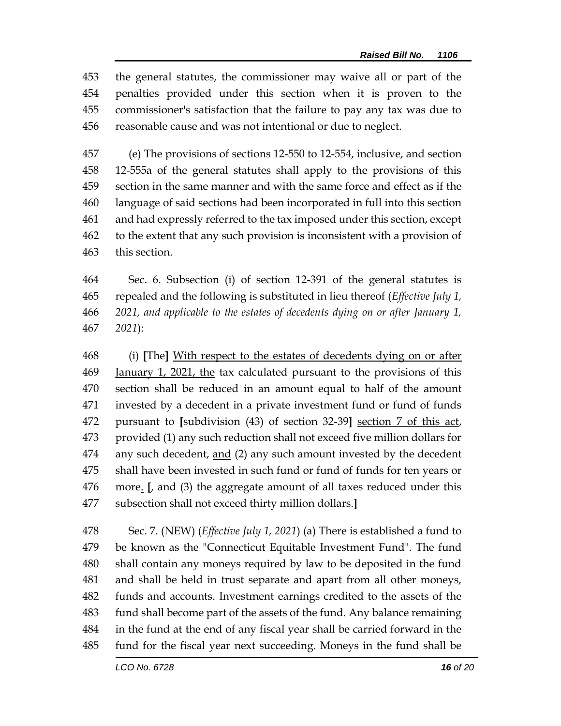the general statutes, the commissioner may waive all or part of the penalties provided under this section when it is proven to the commissioner's satisfaction that the failure to pay any tax was due to reasonable cause and was not intentional or due to neglect.

 (e) The provisions of sections 12-550 to 12-554, inclusive, and section 12-555a of the general statutes shall apply to the provisions of this section in the same manner and with the same force and effect as if the language of said sections had been incorporated in full into this section and had expressly referred to the tax imposed under this section, except to the extent that any such provision is inconsistent with a provision of this section.

 Sec. 6. Subsection (i) of section 12-391 of the general statutes is repealed and the following is substituted in lieu thereof (*Effective July 1, 2021, and applicable to the estates of decedents dying on or after January 1, 2021*):

 (i) **[**The**]** With respect to the estates of decedents dying on or after 469 January 1, 2021, the tax calculated pursuant to the provisions of this section shall be reduced in an amount equal to half of the amount invested by a decedent in a private investment fund or fund of funds pursuant to **[**subdivision (43) of section 32-39**]** section 7 of this act, provided (1) any such reduction shall not exceed five million dollars for any such decedent, and (2) any such amount invested by the decedent shall have been invested in such fund or fund of funds for ten years or more. **[**, and (3) the aggregate amount of all taxes reduced under this subsection shall not exceed thirty million dollars.**]**

 Sec. 7. (NEW) (*Effective July 1, 2021*) (a) There is established a fund to be known as the "Connecticut Equitable Investment Fund". The fund shall contain any moneys required by law to be deposited in the fund and shall be held in trust separate and apart from all other moneys, funds and accounts. Investment earnings credited to the assets of the fund shall become part of the assets of the fund. Any balance remaining in the fund at the end of any fiscal year shall be carried forward in the fund for the fiscal year next succeeding. Moneys in the fund shall be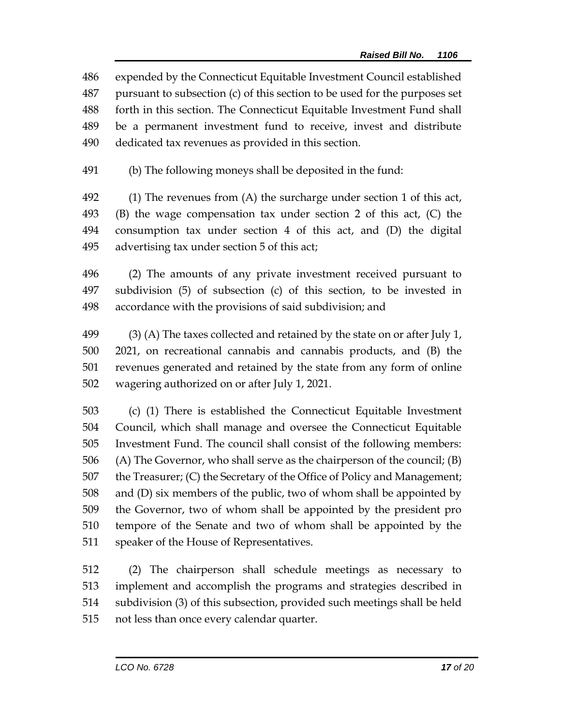expended by the Connecticut Equitable Investment Council established pursuant to subsection (c) of this section to be used for the purposes set forth in this section. The Connecticut Equitable Investment Fund shall be a permanent investment fund to receive, invest and distribute dedicated tax revenues as provided in this section.

(b) The following moneys shall be deposited in the fund:

 (1) The revenues from (A) the surcharge under section 1 of this act, (B) the wage compensation tax under section 2 of this act, (C) the consumption tax under section 4 of this act, and (D) the digital advertising tax under section 5 of this act;

 (2) The amounts of any private investment received pursuant to subdivision (5) of subsection (c) of this section, to be invested in accordance with the provisions of said subdivision; and

 (3) (A) The taxes collected and retained by the state on or after July 1, 2021, on recreational cannabis and cannabis products, and (B) the revenues generated and retained by the state from any form of online wagering authorized on or after July 1, 2021.

 (c) (1) There is established the Connecticut Equitable Investment Council, which shall manage and oversee the Connecticut Equitable Investment Fund. The council shall consist of the following members: (A) The Governor, who shall serve as the chairperson of the council; (B) the Treasurer; (C) the Secretary of the Office of Policy and Management; and (D) six members of the public, two of whom shall be appointed by the Governor, two of whom shall be appointed by the president pro tempore of the Senate and two of whom shall be appointed by the speaker of the House of Representatives.

 (2) The chairperson shall schedule meetings as necessary to implement and accomplish the programs and strategies described in subdivision (3) of this subsection, provided such meetings shall be held not less than once every calendar quarter.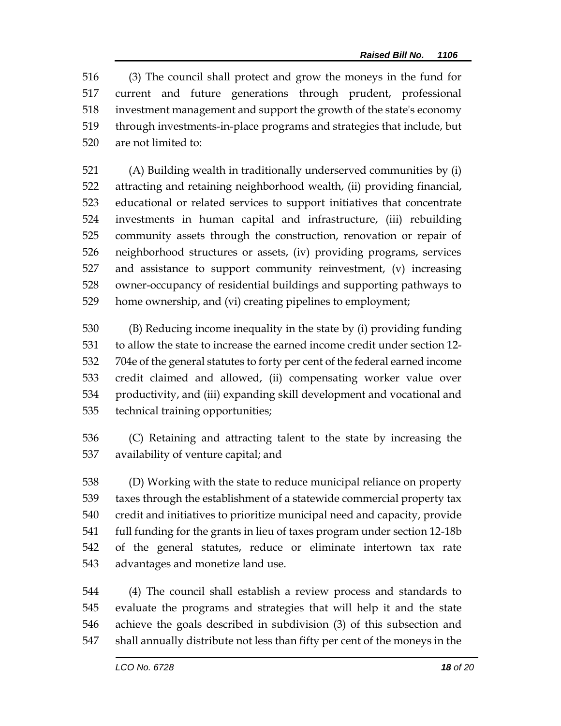(3) The council shall protect and grow the moneys in the fund for current and future generations through prudent, professional investment management and support the growth of the state's economy through investments-in-place programs and strategies that include, but are not limited to:

 (A) Building wealth in traditionally underserved communities by (i) attracting and retaining neighborhood wealth, (ii) providing financial, educational or related services to support initiatives that concentrate investments in human capital and infrastructure, (iii) rebuilding community assets through the construction, renovation or repair of neighborhood structures or assets, (iv) providing programs, services and assistance to support community reinvestment, (v) increasing owner-occupancy of residential buildings and supporting pathways to home ownership, and (vi) creating pipelines to employment;

 (B) Reducing income inequality in the state by (i) providing funding to allow the state to increase the earned income credit under section 12- 704e of the general statutes to forty per cent of the federal earned income credit claimed and allowed, (ii) compensating worker value over productivity, and (iii) expanding skill development and vocational and technical training opportunities;

 (C) Retaining and attracting talent to the state by increasing the availability of venture capital; and

 (D) Working with the state to reduce municipal reliance on property taxes through the establishment of a statewide commercial property tax credit and initiatives to prioritize municipal need and capacity, provide full funding for the grants in lieu of taxes program under section 12-18b of the general statutes, reduce or eliminate intertown tax rate advantages and monetize land use.

 (4) The council shall establish a review process and standards to evaluate the programs and strategies that will help it and the state achieve the goals described in subdivision (3) of this subsection and shall annually distribute not less than fifty per cent of the moneys in the